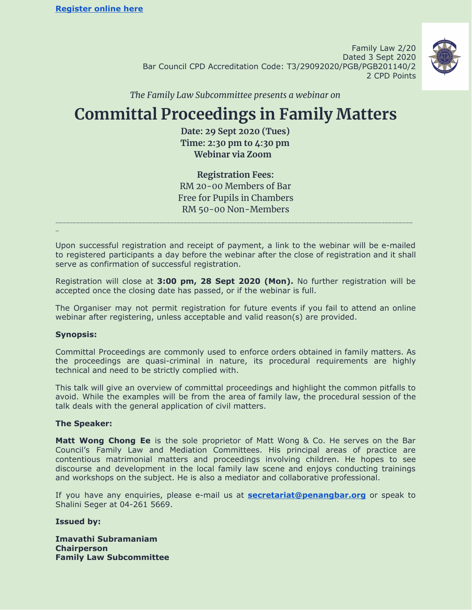Family Law 2/20 Dated 3 Sept 2020 Bar Council CPD Accreditation Code: T3/29092020/PGB/PGB201140/2 2 CPD Points



*The Family Law Subcommittee presents a webinar on*

# **Committal Proceedings in Family Matters**

**Date: 29 Sept 2020 (Tues) Time: 2:30 pm to 4:30 pm Webinar via Zoom**

**Registration Fees:** RM 20-00 Members of Bar Free for Pupils in Chambers RM 50-00 Non-Members

Upon successful registration and receipt of payment, a link to the webinar will be e-mailed to registered participants a day before the webinar after the close of registration and it shall serve as confirmation of successful registration.

\_\_\_\_\_\_\_\_\_\_\_\_\_\_\_\_\_\_\_\_\_\_\_\_\_\_\_\_\_\_\_\_\_\_\_\_\_\_\_\_\_\_\_\_\_\_\_\_\_\_\_\_\_\_\_\_\_\_\_\_\_\_\_\_\_\_\_\_\_\_\_\_\_\_\_\_\_\_\_\_\_\_\_\_\_\_\_\_\_\_\_\_\_\_\_\_\_\_\_\_\_\_\_

Registration will close at **3:00 pm, 28 Sept 2020 (Mon).** No further registration will be accepted once the closing date has passed, or if the webinar is full.

The Organiser may not permit registration for future events if you fail to attend an online webinar after registering, unless acceptable and valid reason(s) are provided.

#### **Synopsis:**

\_

Committal Proceedings are commonly used to enforce orders obtained in family matters. As the proceedings are quasi-criminal in nature, its procedural requirements are highly technical and need to be strictly complied with.

This talk will give an overview of committal proceedings and highlight the common pitfalls to avoid. While the examples will be from the area of family law, the procedural session of the talk deals with the general application of civil matters.

#### **The Speaker:**

**Matt Wong Chong Ee** is the sole proprietor of Matt Wong & Co. He serves on the Bar Council's Family Law and Mediation Committees. His principal areas of practice are contentious matrimonial matters and proceedings involving children. He hopes to see discourse and development in the local family law scene and enjoys conducting trainings and workshops on the subject. He is also a mediator and collaborative professional.

If you have any enquiries, please e-mail us at **[secretariat@penangbar.org](mailto:secretariat@penangbar.org)** or speak to Shalini Seger at 04-261 5669.

#### **Issued by:**

**Imavathi Subramaniam Chairperson Family Law Subcommittee**